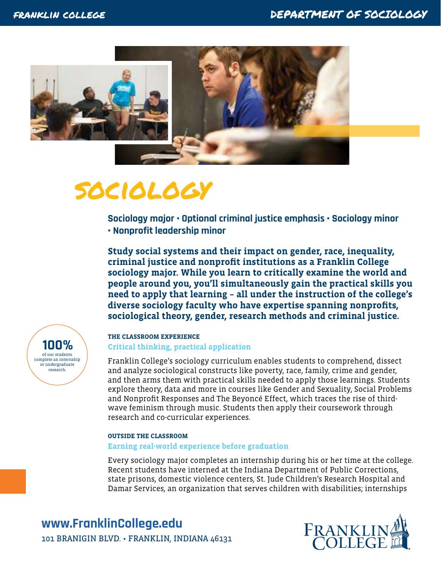

# sociology

**Sociology major • Optional criminal justice emphasis • Sociology minor • Nonprofit leadership minor**

**Study social systems and their impact on gender, race, inequality, criminal justice and nonprofit institutions as a Franklin College sociology major. While you learn to critically examine the world and people around you, you'll simultaneously gain the practical skills you need to apply that learning – all under the instruction of the college's diverse sociology faculty who have expertise spanning nonprofits, sociological theory, gender, research methods and criminal justice.** 

of our students complete an internship or undergraduate research. **100%**

# **THE CLASSROOM EXPERIENCE Critical thinking, practical application**

Franklin College's sociology curriculum enables students to comprehend, dissect and analyze sociological constructs like poverty, race, family, crime and gender, and then arms them with practical skills needed to apply those learnings. Students explore theory, data and more in courses like Gender and Sexuality, Social Problems and Nonprofit Responses and The Beyoncé Effect, which traces the rise of thirdwave feminism through music. Students then apply their coursework through research and co-curricular experiences.

## **OUTSIDE THE CLASSROOM**

## **Earning real-world experience before graduation**

Every sociology major completes an internship during his or her time at the college. Recent students have interned at the Indiana Department of Public Corrections, state prisons, domestic violence centers, St. Jude Children's Research Hospital and Damar Services, an organization that serves children with disabilities; internships

**www[.FranklinCollege.edu](http://www.franklincollege.edu)** 101 BRANIGIN BLVD. • FRANKLIN, INDIANA 46131